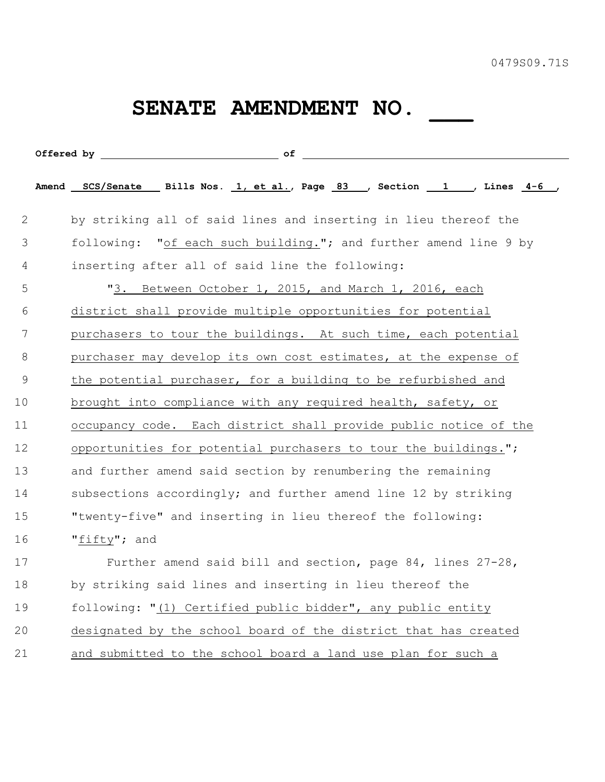## SENATE AMENDMENT NO. \_\_\_\_

|               |  | Offered by $\overline{\phantom{a}}$ of $\overline{\phantom{a}}$          |
|---------------|--|--------------------------------------------------------------------------|
|               |  | Amend SCS/Senate Bills Nos. 1, et al., Page 83 , Section 1 , Lines 4-6 , |
| 2             |  | by striking all of said lines and inserting in lieu thereof the          |
| 3             |  | following: "of each such building."; and further amend line 9 by         |
| 4             |  | inserting after all of said line the following:                          |
| 5             |  | "3. Between October 1, 2015, and March 1, 2016, each                     |
| 6             |  | district shall provide multiple opportunities for potential              |
| 7             |  | purchasers to tour the buildings. At such time, each potential           |
| 8             |  | purchaser may develop its own cost estimates, at the expense of          |
| $\mathcal{G}$ |  | the potential purchaser, for a building to be refurbished and            |
| 10            |  | brought into compliance with any required health, safety, or             |
| 11            |  | occupancy code. Each district shall provide public notice of the         |
| 12            |  | opportunities for potential purchasers to tour the buildings.";          |
| 13            |  | and further amend said section by renumbering the remaining              |
| 14            |  | subsections accordingly; and further amend line 12 by striking           |
| 15            |  | "twenty-five" and inserting in lieu thereof the following:               |
| 16            |  | "fifty"; and                                                             |
| 17            |  | Further amend said bill and section, page 84, lines 27-28,               |
| 18            |  | by striking said lines and inserting in lieu thereof the                 |
| 19            |  | following: "(1) Certified public bidder", any public entity              |
| 20            |  | designated by the school board of the district that has created          |
| 21            |  | and submitted to the school board a land use plan for such a             |